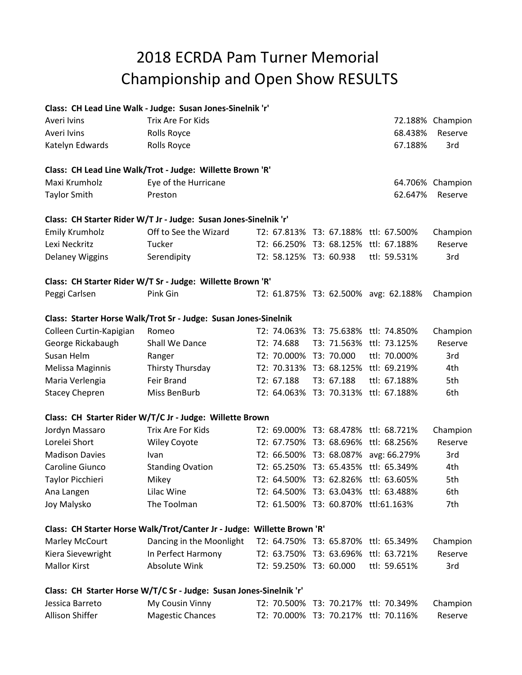## Championship and Open Show RESULTS 2018 ECRDA Pam Turner Memorial

## **Class: CH Lead Line Walk - Judge: Susan Jones-Sinelnik 'r'**

| Averi Ivins             | Trix Are For Kids                                                       |                        |                                      |                                      | 72.188% Champion |
|-------------------------|-------------------------------------------------------------------------|------------------------|--------------------------------------|--------------------------------------|------------------|
| Averi Ivins             | Rolls Royce                                                             |                        |                                      | 68.438%                              | Reserve          |
| Katelyn Edwards         | Rolls Royce                                                             |                        |                                      | 67.188%                              | 3rd              |
|                         | Class: CH Lead Line Walk/Trot - Judge: Willette Brown 'R'               |                        |                                      |                                      |                  |
| Maxi Krumholz           | Eye of the Hurricane                                                    |                        |                                      |                                      | 64.706% Champion |
| <b>Taylor Smith</b>     | Preston                                                                 |                        |                                      | 62.647%                              | Reserve          |
|                         | Class: CH Starter Rider W/T Jr - Judge: Susan Jones-Sinelnik 'r'        |                        |                                      |                                      |                  |
| <b>Emily Krumholz</b>   | Off to See the Wizard                                                   |                        | T2: 67.813% T3: 67.188% ttl: 67.500% |                                      | Champion         |
| Lexi Neckritz           | Tucker                                                                  |                        | T2: 66.250% T3: 68.125%              | ttl: 67.188%                         | Reserve          |
| Delaney Wiggins         | Serendipity                                                             | T2: 58.125% T3: 60.938 |                                      | ttl: 59.531%                         | 3rd              |
|                         | Class: CH Starter Rider W/T Sr - Judge: Willette Brown 'R'              |                        |                                      |                                      |                  |
| Peggi Carlsen           | Pink Gin                                                                |                        |                                      | T2: 61.875% T3: 62.500% avg: 62.188% | Champion         |
|                         | Class: Starter Horse Walk/Trot Sr - Judge: Susan Jones-Sinelnik         |                        |                                      |                                      |                  |
| Colleen Curtin-Kapigian | Romeo                                                                   | T2: 74.063%            | T3: 75.638%                          | ttl: 74.850%                         | Champion         |
| George Rickabaugh       | Shall We Dance                                                          | T2: 74.688             | T3: 71.563% ttl: 73.125%             |                                      | Reserve          |
| Susan Helm              | Ranger                                                                  | T2: 70.000%            | T3: 70.000                           | ttl: 70.000%                         | 3rd              |
| Melissa Maginnis        | Thirsty Thursday                                                        |                        | T2: 70.313% T3: 68.125% ttl: 69.219% |                                      | 4th              |
| Maria Verlengia         | Feir Brand                                                              | T2: 67.188             | T3: 67.188                           | ttl: 67.188%                         | 5th              |
| <b>Stacey Chepren</b>   | Miss BenBurb                                                            |                        | T2: 64.063% T3: 70.313%              | ttl: 67.188%                         | 6th              |
|                         | Class: CH Starter Rider W/T/C Jr - Judge: Willette Brown                |                        |                                      |                                      |                  |
| Jordyn Massaro          | Trix Are For Kids                                                       |                        | T2: 69.000% T3: 68.478% ttl: 68.721% |                                      | Champion         |
| Lorelei Short           | <b>Wiley Coyote</b>                                                     |                        | T2: 67.750% T3: 68.696%              | ttl: 68.256%                         | Reserve          |
| <b>Madison Davies</b>   | Ivan                                                                    |                        | T2: 66.500% T3: 68.087%              | avg: 66.279%                         | 3rd              |
| Caroline Giunco         | <b>Standing Ovation</b>                                                 |                        | T2: 65.250% T3: 65.435%              | ttl: 65.349%                         | 4th              |
| Taylor Picchieri        | Mikey                                                                   |                        | T2: 64.500% T3: 62.826%              | ttl: 63.605%                         | 5th              |
| Ana Langen              | Lilac Wine                                                              |                        | T2: 64.500% T3: 63.043% ttl: 63.488% |                                      | 6th              |
| Joy Malysko             | The Toolman                                                             |                        | T2: 61.500% T3: 60.870% ttl:61.163%  |                                      | 7th              |
|                         | Class: CH Starter Horse Walk/Trot/Canter Jr - Judge: Willette Brown 'R' |                        |                                      |                                      |                  |
| Marley McCourt          | Dancing in the Moonlight                                                |                        | T2: 64.750% T3: 65.870% ttl: 65.349% |                                      | Champion         |
| Kiera Sievewright       | In Perfect Harmony                                                      |                        | T2: 63.750% T3: 63.696%              | ttl: 63.721%                         | Reserve          |
| <b>Mallor Kirst</b>     | Absolute Wink                                                           | T2: 59.250% T3: 60.000 |                                      | ttl: 59.651%                         | 3rd              |
|                         | Class: CH Starter Horse W/T/C Sr - Judge: Susan Jones-Sinelnik 'r'      |                        |                                      |                                      |                  |
| Jessica Barreto         | My Cousin Vinny                                                         |                        | T2: 70.500% T3: 70.217% ttl: 70.349% |                                      | Champion         |
| Allison Shiffer         | <b>Magestic Chances</b>                                                 |                        | T2: 70.000% T3: 70.217% ttl: 70.116% |                                      | Reserve          |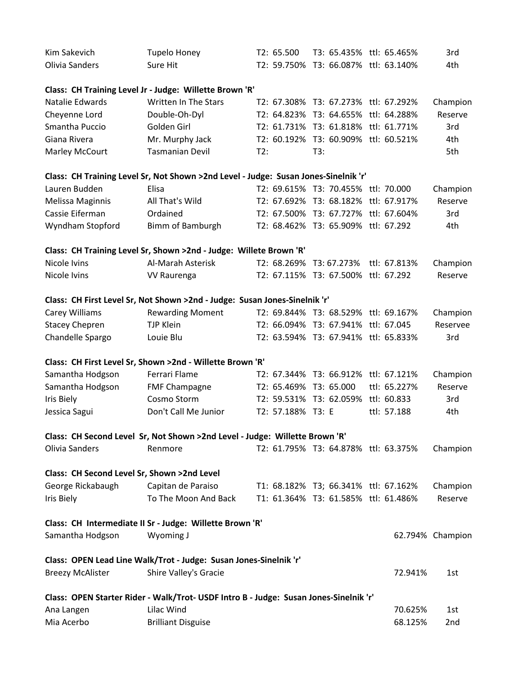| Kim Sakevich                                | <b>Tupelo Honey</b>                                                                   | T2: 65.500        |                                      | T3: 65.435% ttl: 65.465% | 3rd              |
|---------------------------------------------|---------------------------------------------------------------------------------------|-------------------|--------------------------------------|--------------------------|------------------|
| Olivia Sanders                              | Sure Hit                                                                              | T2: 59.750%       | T3: 66.087% ttl: 63.140%             |                          | 4th              |
|                                             | Class: CH Training Level Jr - Judge: Willette Brown 'R'                               |                   |                                      |                          |                  |
| Natalie Edwards                             | <b>Written In The Stars</b>                                                           |                   | T2: 67.308% T3: 67.273% ttl: 67.292% |                          | Champion         |
| Cheyenne Lord                               | Double-Oh-Dyl                                                                         | T2: 64.823%       | T3: 64.655% ttl: 64.288%             |                          | Reserve          |
| Smantha Puccio                              | Golden Girl                                                                           |                   | T2: 61.731% T3: 61.818% ttl: 61.771% |                          | 3rd              |
| Giana Rivera                                | Mr. Murphy Jack                                                                       |                   | T2: 60.192% T3: 60.909% ttl: 60.521% |                          | 4th              |
| Marley McCourt                              | <b>Tasmanian Devil</b>                                                                | T2:               | T3:                                  |                          | 5th              |
|                                             | Class: CH Training Level Sr, Not Shown >2nd Level - Judge: Susan Jones-Sinelnik 'r'   |                   |                                      |                          |                  |
| Lauren Budden                               | Elisa                                                                                 |                   | T2: 69.615% T3: 70.455% ttl: 70.000  |                          | Champion         |
| Melissa Maginnis                            | All That's Wild                                                                       |                   | T2: 67.692% T3: 68.182% ttl: 67.917% |                          | Reserve          |
| Cassie Eiferman                             | Ordained                                                                              |                   | T2: 67.500% T3: 67.727% ttl: 67.604% |                          | 3rd              |
| Wyndham Stopford                            | Bimm of Bamburgh                                                                      |                   | T2: 68.462% T3: 65.909% ttl: 67.292  |                          | 4th              |
|                                             | Class: CH Training Level Sr, Shown >2nd - Judge: Willete Brown 'R'                    |                   |                                      |                          |                  |
| Nicole Ivins                                | Al-Marah Asterisk                                                                     | T2: 68.269%       | T3: 67.273%                          | ttl: 67.813%             | Champion         |
| Nicole Ivins                                | <b>VV Raurenga</b>                                                                    |                   | T2: 67.115% T3: 67.500% ttl: 67.292  |                          | Reserve          |
|                                             | Class: CH First Level Sr, Not Shown >2nd - Judge: Susan Jones-Sinelnik 'r'            |                   |                                      |                          |                  |
| Carey Williams                              | <b>Rewarding Moment</b>                                                               |                   | T2: 69.844% T3: 68.529% ttl: 69.167% |                          | Champion         |
| <b>Stacey Chepren</b>                       | <b>TJP Klein</b>                                                                      |                   | T2: 66.094% T3: 67.941% ttl: 67.045  |                          | Reservee         |
| Chandelle Spargo                            | Louie Blu                                                                             |                   | T2: 63.594% T3: 67.941% ttl: 65.833% |                          | 3rd              |
|                                             | Class: CH First Level Sr, Shown >2nd - Willette Brown 'R'                             |                   |                                      |                          |                  |
| Samantha Hodgson                            | Ferrari Flame                                                                         |                   | T2: 67.344% T3: 66.912% ttl: 67.121% |                          | Champion         |
| Samantha Hodgson                            | <b>FMF Champagne</b>                                                                  | T2: 65.469%       | T3: 65.000                           | ttl: 65.227%             | Reserve          |
| <b>Iris Biely</b>                           | Cosmo Storm                                                                           |                   | T2: 59.531% T3: 62.059% ttl: 60.833  |                          | 3rd              |
| Jessica Sagui                               | Don't Call Me Junior                                                                  | T2: 57.188% T3: E |                                      | ttl: 57.188              | 4th              |
|                                             | Class: CH Second Level Sr, Not Shown >2nd Level - Judge: Willette Brown 'R'           |                   |                                      |                          |                  |
| Olivia Sanders                              | Renmore                                                                               |                   | T2: 61.795% T3: 64.878% ttl: 63.375% |                          | Champion         |
| Class: CH Second Level Sr, Shown >2nd Level |                                                                                       |                   |                                      |                          |                  |
| George Rickabaugh                           | Capitan de Paraiso                                                                    |                   | T1: 68.182% T3; 66.341% ttl: 67.162% |                          | Champion         |
| <b>Iris Biely</b>                           | To The Moon And Back                                                                  |                   | T1: 61.364% T3: 61.585% ttl: 61.486% |                          | Reserve          |
|                                             | Class: CH Intermediate II Sr - Judge: Willette Brown 'R'                              |                   |                                      |                          |                  |
| Samantha Hodgson                            | Wyoming J                                                                             |                   |                                      |                          | 62.794% Champion |
|                                             | Class: OPEN Lead Line Walk/Trot - Judge: Susan Jones-Sinelnik 'r'                     |                   |                                      |                          |                  |
| <b>Breezy McAlister</b>                     | Shire Valley's Gracie                                                                 |                   |                                      | 72.941%                  | 1st              |
|                                             | Class: OPEN Starter Rider - Walk/Trot- USDF Intro B - Judge: Susan Jones-Sinelnik 'r' |                   |                                      |                          |                  |
| Ana Langen                                  | Lilac Wind                                                                            |                   |                                      | 70.625%                  | 1st              |
| Mia Acerbo                                  | <b>Brilliant Disguise</b>                                                             |                   |                                      | 68.125%                  | 2nd              |